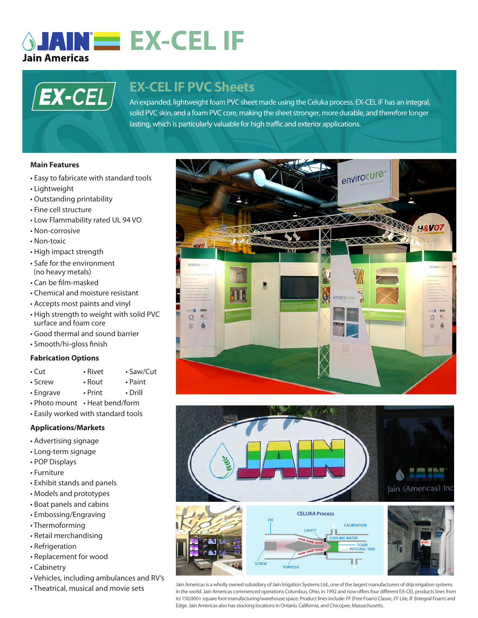



# **EX-CEL IF PVC Sheets**

An expanded, lightweight foam PVC sheet made using the Celuka process. EX-CEL IF has an integral, solid PVC skin, and a foam PVC core, making the sheet stronger, more durable, and therefore longer lasting, which is particularly valuable for high traffic and exterior applications.

#### **Main Features**

- Easy to fabricate with standard tools
- Lightweight
- Outstanding printability
- Fine cell structure
- Low Flammability rated UL 94 VO
- Non-corrosive
- Non-toxic
- High impact strength
- Safe for the environment (no heavy metals)
- Can be film-masked
- Chemical and moisture resistant
- Accepts most paints and vinyl
- High strength to weight with solid PVC surface and foam core
- Good thermal and sound barrier
- Smooth/hi-gloss finish

## **Fabrication Options**

- Cut Rivet Saw/Cut
- Screw Rout Paint
- Engrave Print Drill
- Photo mount Heat bend/form
- Easily worked with standard tools

## **Applications/Markets**

- Advertising signage
- Long-term signage
- POP Displays
- Furniture
- Exhibit stands and panels
- Models and prototypes
- Boat panels and cabins
- Embossing/Engraving
- Thermoforming
- Retail merchandising
- Refrigeration
- Replacement for wood
- Cabinetry
- Vehicles, including ambulances and RV's
- Theatrical, musical and movie sets







Jain Americas is a wholly owned subsidiary of Jain Irrigation Systems Ltd., one of the largest manufacturers of drip irrigation systems in the world. Jain Americas commenced operations Columbus, Ohio, in 1992 and now offers four different EX-CEL products lines from its 150,000+ square foot manufacturing/warehouse space. Product lines include: FF (Free Foam) Classic, FF Lite, IF (Integral Foam) and Edge. Jain Americas also has stocking locations in Ontario, California, and Chicopee, Massachusetts.